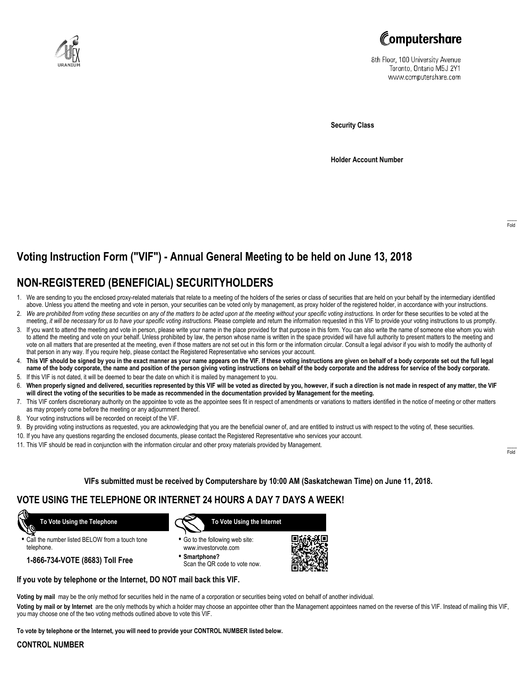



8th Floor, 100 University Avenue Toronto, Ontario M5J 2Y1 www.computershare.com

**Security Class**

**Holder Account Number**

# **Voting Instruction Form ("VIF") - Annual General Meeting to be held on June 13, 2018**

## **NON-REGISTERED (BENEFICIAL) SECURITYHOLDERS**

- 1. We are sending to you the enclosed proxy-related materials that relate to a meeting of the holders of the series or class of securities that are held on your behalf by the intermediary identified above. Unless you attend the meeting and vote in person, your securities can be voted only by management, as proxy holder of the registered holder, in accordance with your instructions.
- 2. *We are prohibited from voting these securities on any of the matters to be acted upon at the meeting without your specific voting instructions.* In order for these securities to be voted at the meeting, *it will be necessary for us to have your specific voting instructions.* Please complete and return the information requested in this VIF to provide your voting instructions to us promptly.
- 3. If you want to attend the meeting and vote in person, please write your name in the place provided for that purpose in this form. You can also write the name of someone else whom you wish to attend the meeting and vote on your behalf. Unless prohibited by law, the person whose name is written in the space provided will have full authority to present matters to the meeting and vote on all matters that are presented at the meeting, even if those matters are not set out in this form or the information circular. Consult a legal advisor if you wish to modify the authority of that person in any way. If you require help, please contact the Registered Representative who services your account.
- 4. **This VIF should be signed by you in the exact manner as your name appears on the VIF. If these voting instructions are given on behalf of a body corporate set out the full legal name of the body corporate, the name and position of the person giving voting instructions on behalf of the body corporate and the address for service of the body corporate.**
- 5. If this VIF is not dated, it will be deemed to bear the date on which it is mailed by management to you.
- 6. **When properly signed and delivered, securities represented by this VIF will be voted as directed by you, however, if such a direction is not made in respect of any matter, the VIF will direct the voting of the securities to be made as recommended in the documentation provided by Management for the meeting.**
- 7. This VIF confers discretionary authority on the appointee to vote as the appointee sees fit in respect of amendments or variations to matters identified in the notice of meeting or other matters as may properly come before the meeting or any adjournment thereof.
- 8. Your voting instructions will be recorded on receipt of the VIF.
- 9. By providing voting instructions as requested, you are acknowledging that you are the beneficial owner of, and are entitled to instruct us with respect to the voting of, these securities.
- 10. If you have any questions regarding the enclosed documents, please contact the Registered Representative who services your account.
- 11. This VIF should be read in conjunction with the information circular and other proxy materials provided by Management.

**VIFs submitted must be received by Computershare by 10:00 AM (Saskatchewan Time) on June 11, 2018.**

### **VOTE USING THE TELEPHONE OR INTERNET 24 HOURS A DAY 7 DAYS A WEEK!**

 **To Vote Using the Telephone**

**•** Call the number listed BELOW from a touch tone telephone.

**1-866-734-VOTE (8683) Toll Free**



- **•** Go to the following web site: www.investorvote.com
- **• Smartphone?** Scan the QR code to vote now.



#### **If you vote by telephone or the Internet, DO NOT mail back this VIF.**

**Voting by mail** may be the only method for securities held in the name of a corporation or securities being voted on behalf of another individual.

**Voting by mail or by Internet** are the only methods by which a holder may choose an appointee other than the Management appointees named on the reverse of this VIF. Instead of mailing this VIF, you may choose one of the two voting methods outlined above to vote this VIF.

**To vote by telephone or the Internet, you will need to provide your CONTROL NUMBER listed below.**

#### **CONTROL NUMBER**